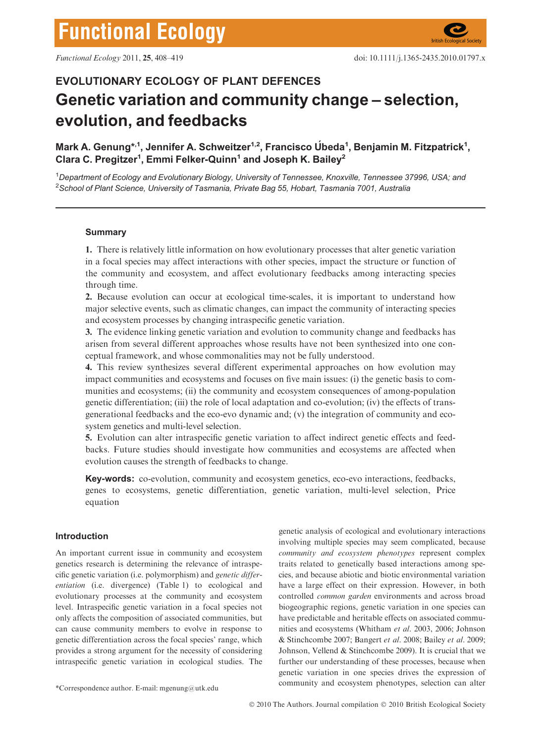

EVOLUTIONARY ECOLOGY OF PLANT DEFENCES

# Genetic variation and community change – selection, evolution, and feedbacks

Mark A. Genung\*<sup>,1</sup>, Jennifer A. Schweitzer<sup>1,2</sup>, Francisco Úbeda<sup>1</sup>, Benjamin M. Fitzpatrick<sup>1</sup>, Clara C. Pregitzer $^1$ , Emmi Felker-Quinn $^1$  and Joseph K. Bailey $^2$ 

<sup>1</sup>Department of Ecology and Evolutionary Biology, University of Tennessee, Knoxville, Tennessee 37996, USA; and  $^2$ School of Plant Science, University of Tasmania, Private Bag 55, Hobart, Tasmania 7001, Australia

#### Summary

1. There is relatively little information on how evolutionary processes that alter genetic variation in a focal species may affect interactions with other species, impact the structure or function of the community and ecosystem, and affect evolutionary feedbacks among interacting species through time.

2. Because evolution can occur at ecological time-scales, it is important to understand how major selective events, such as climatic changes, can impact the community of interacting species and ecosystem processes by changing intraspecific genetic variation.

3. The evidence linking genetic variation and evolution to community change and feedbacks has arisen from several different approaches whose results have not been synthesized into one conceptual framework, and whose commonalities may not be fully understood.

4. This review synthesizes several different experimental approaches on how evolution may impact communities and ecosystems and focuses on five main issues: (i) the genetic basis to communities and ecosystems; (ii) the community and ecosystem consequences of among-population genetic differentiation; (iii) the role of local adaptation and co-evolution; (iv) the effects of transgenerational feedbacks and the eco-evo dynamic and; (v) the integration of community and ecosystem genetics and multi-level selection.

5. Evolution can alter intraspecific genetic variation to affect indirect genetic effects and feedbacks. Future studies should investigate how communities and ecosystems are affected when evolution causes the strength of feedbacks to change.

Key-words: co-evolution, community and ecosystem genetics, eco-evo interactions, feedbacks, genes to ecosystems, genetic differentiation, genetic variation, multi-level selection, Price equation

#### Introduction

An important current issue in community and ecosystem genetics research is determining the relevance of intraspecific genetic variation (i.e. polymorphism) and genetic differentiation (i.e. divergence) (Table 1) to ecological and evolutionary processes at the community and ecosystem level. Intraspecific genetic variation in a focal species not only affects the composition of associated communities, but can cause community members to evolve in response to genetic differentiation across the focal species' range, which provides a strong argument for the necessity of considering intraspecific genetic variation in ecological studies. The

genetic analysis of ecological and evolutionary interactions involving multiple species may seem complicated, because community and ecosystem phenotypes represent complex traits related to genetically based interactions among species, and because abiotic and biotic environmental variation have a large effect on their expression. However, in both controlled common garden environments and across broad biogeographic regions, genetic variation in one species can have predictable and heritable effects on associated communities and ecosystems (Whitham et al. 2003, 2006; Johnson & Stinchcombe 2007; Bangert et al. 2008; Bailey et al. 2009; Johnson, Vellend & Stinchcombe 2009). It is crucial that we further our understanding of these processes, because when genetic variation in one species drives the expression of community and ecosystem phenotypes, selection can alter \*Correspondence author. E-mail: mgenung@utk.edu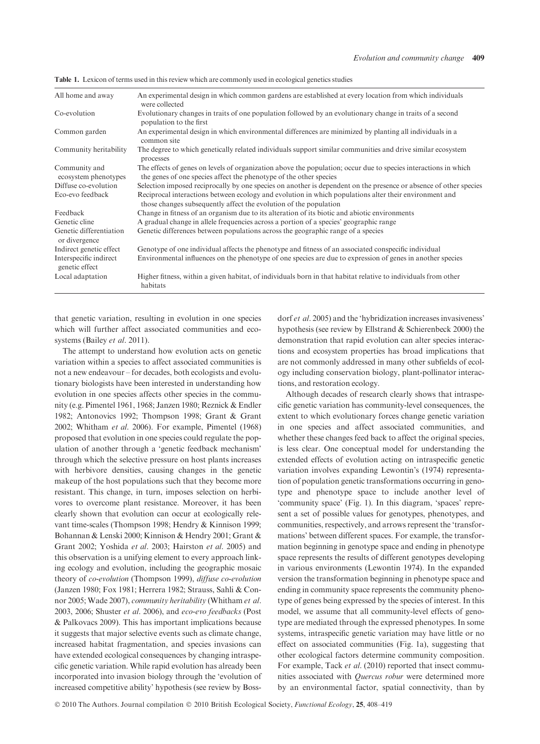| An experimental design in which common gardens are established at every location from which individuals<br>were collected                                                             |
|---------------------------------------------------------------------------------------------------------------------------------------------------------------------------------------|
| Evolutionary changes in traits of one population followed by an evolutionary change in traits of a second<br>population to the first                                                  |
| An experimental design in which environmental differences are minimized by planting all individuals in a<br>common site                                                               |
| The degree to which genetically related individuals support similar communities and drive similar ecosystem<br>processes                                                              |
| The effects of genes on levels of organization above the population; occur due to species interactions in which<br>the genes of one species affect the phenotype of the other species |
| Selection imposed reciprocally by one species on another is dependent on the presence or absence of other species                                                                     |
| Reciprocal interactions between ecology and evolution in which populations alter their environment and<br>those changes subsequently affect the evolution of the population           |
| Change in fitness of an organism due to its alteration of its biotic and abiotic environments                                                                                         |
| A gradual change in allele frequencies across a portion of a species' geographic range                                                                                                |
| Genetic differences between populations across the geographic range of a species                                                                                                      |
| Genotype of one individual affects the phenotype and fitness of an associated conspecific individual                                                                                  |
| Environmental influences on the phenotype of one species are due to expression of genes in another species                                                                            |
| Higher fitness, within a given habitat, of individuals born in that habitat relative to individuals from other<br>habitats                                                            |
|                                                                                                                                                                                       |

Table 1. Lexicon of terms used in this review which are commonly used in ecological genetics studies

that genetic variation, resulting in evolution in one species which will further affect associated communities and ecosystems (Bailey et al. 2011).

The attempt to understand how evolution acts on genetic variation within a species to affect associated communities is not a new endeavour – for decades, both ecologists and evolutionary biologists have been interested in understanding how evolution in one species affects other species in the community (e.g. Pimentel 1961, 1968; Janzen 1980; Reznick & Endler 1982; Antonovics 1992; Thompson 1998; Grant & Grant 2002; Whitham et al. 2006). For example, Pimentel (1968) proposed that evolution in one species could regulate the population of another through a 'genetic feedback mechanism' through which the selective pressure on host plants increases with herbivore densities, causing changes in the genetic makeup of the host populations such that they become more resistant. This change, in turn, imposes selection on herbivores to overcome plant resistance. Moreover, it has been clearly shown that evolution can occur at ecologically relevant time-scales (Thompson 1998; Hendry & Kinnison 1999; Bohannan & Lenski 2000; Kinnison & Hendry 2001; Grant & Grant 2002; Yoshida et al. 2003; Hairston et al. 2005) and this observation is a unifying element to every approach linking ecology and evolution, including the geographic mosaic theory of co-evolution (Thompson 1999), diffuse co-evolution (Janzen 1980; Fox 1981; Herrera 1982; Strauss, Sahli & Connor 2005; Wade 2007), community heritability (Whitham et al. 2003, 2006; Shuster et al. 2006), and eco-evo feedbacks (Post & Palkovacs 2009). This has important implications because it suggests that major selective events such as climate change, increased habitat fragmentation, and species invasions can have extended ecological consequences by changing intraspecific genetic variation. While rapid evolution has already been incorporated into invasion biology through the 'evolution of increased competitive ability' hypothesis (see review by Bossdorf et al. 2005) and the 'hybridization increases invasiveness' hypothesis (see review by Ellstrand & Schierenbeck 2000) the demonstration that rapid evolution can alter species interactions and ecosystem properties has broad implications that are not commonly addressed in many other subfields of ecology including conservation biology, plant-pollinator interactions, and restoration ecology.

Although decades of research clearly shows that intraspecific genetic variation has community-level consequences, the extent to which evolutionary forces change genetic variation in one species and affect associated communities, and whether these changes feed back to affect the original species, is less clear. One conceptual model for understanding the extended effects of evolution acting on intraspecific genetic variation involves expanding Lewontin's (1974) representation of population genetic transformations occurring in genotype and phenotype space to include another level of 'community space' (Fig. 1). In this diagram, 'spaces' represent a set of possible values for genotypes, phenotypes, and communities, respectively, and arrows represent the 'transformations' between different spaces. For example, the transformation beginning in genotype space and ending in phenotype space represents the results of different genotypes developing in various environments (Lewontin 1974). In the expanded version the transformation beginning in phenotype space and ending in community space represents the community phenotype of genes being expressed by the species of interest. In this model, we assume that all community-level effects of genotype are mediated through the expressed phenotypes. In some systems, intraspecific genetic variation may have little or no effect on associated communities (Fig. 1a), suggesting that other ecological factors determine community composition. For example, Tack et al. (2010) reported that insect communities associated with Quercus robur were determined more by an environmental factor, spatial connectivity, than by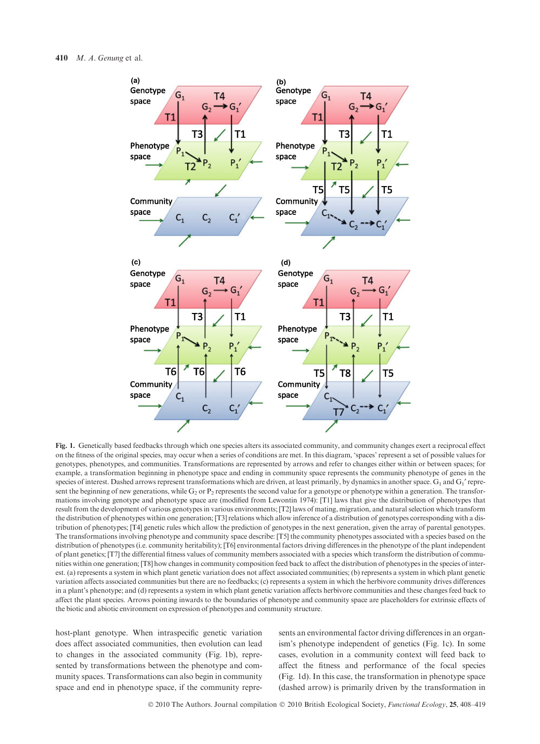

Fig. 1. Genetically based feedbacks through which one species alters its associated community, and community changes exert a reciprocal effect on the fitness of the original species, may occur when a series of conditions are met. In this diagram, 'spaces' represent a set of possible values for genotypes, phenotypes, and communities. Transformations are represented by arrows and refer to changes either within or between spaces; for example, a transformation beginning in phenotype space and ending in community space represents the community phenotype of genes in the species of interest. Dashed arrows represent transformations which are driven, at least primarily, by dynamics in another space.  $G_1$  and  $G_1'$  represent the beginning of new generations, while  $G_2$  or P<sub>2</sub> represents the second value for a genotype or phenotype within a generation. The transformations involving genotype and phenotype space are (modified from Lewontin 1974): [T1] laws that give the distribution of phenotypes that result from the development of various genotypes in various environments; [T2] laws of mating, migration, and natural selection which transform the distribution of phenotypes within one generation; [T3] relations which allow inference of a distribution of genotypes corresponding with a distribution of phenotypes; [T4] genetic rules which allow the prediction of genotypes in the next generation, given the array of parental genotypes. The transformations involving phenotype and community space describe: [T5] the community phenotypes associated with a species based on the distribution of phenotypes (i.e. community heritability); [T6] environmental factors driving differences in the phenotype of the plant independent of plant genetics; [T7] the differential fitness values of community members associated with a species which transform the distribution of communities within one generation; [T8] how changes in community composition feed back to affect the distribution of phenotypes in the species of interest. (a) represents a system in which plant genetic variation does not affect associated communities; (b) represents a system in which plant genetic variation affects associated communities but there are no feedbacks; (c) represents a system in which the herbivore community drives differences in a plant's phenotype; and (d) represents a system in which plant genetic variation affects herbivore communities and these changes feed back to affect the plant species. Arrows pointing inwards to the boundaries of phenotype and community space are placeholders for extrinsic effects of the biotic and abiotic environment on expression of phenotypes and community structure.

host-plant genotype. When intraspecific genetic variation does affect associated communities, then evolution can lead to changes in the associated community (Fig. 1b), represented by transformations between the phenotype and community spaces. Transformations can also begin in community space and end in phenotype space, if the community repre-

sents an environmental factor driving differences in an organism's phenotype independent of genetics (Fig. 1c). In some cases, evolution in a community context will feed back to affect the fitness and performance of the focal species (Fig. 1d). In this case, the transformation in phenotype space (dashed arrow) is primarily driven by the transformation in

© 2010 The Authors. Journal compilation © 2010 British Ecological Society, *Functional Ecology*, 25, 408–419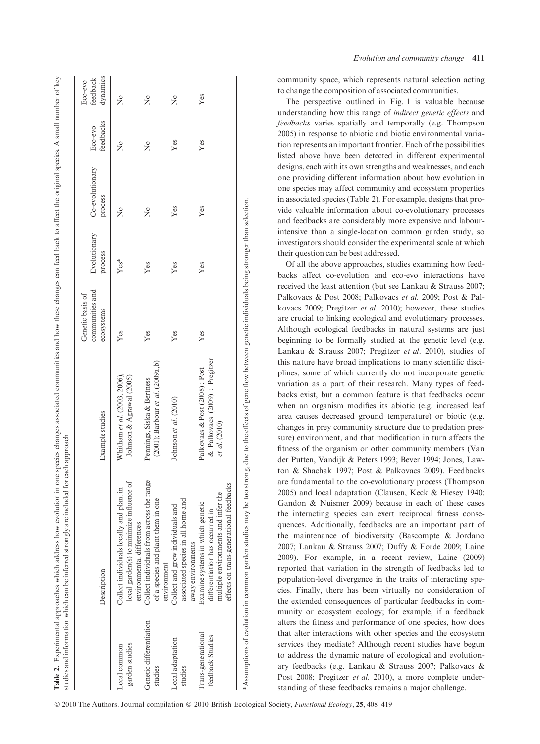|                                        | Description                                                                                                                                                                | Example studies                                                                 | communities and<br>Genetic basis of<br>ecosystems | Evolutionary<br>process | Co-evolutionary<br>process | feedbacks<br>Eco-evo | dynamics<br>feedback<br>Eco-evo |
|----------------------------------------|----------------------------------------------------------------------------------------------------------------------------------------------------------------------------|---------------------------------------------------------------------------------|---------------------------------------------------|-------------------------|----------------------------|----------------------|---------------------------------|
| garden studies<br>Local common         | local garden(s) to minimize influence of<br>Collect individuals locally and plant in                                                                                       | Whitham et al. (2003, 2006),<br>Johnson & Agrawal (2005)                        | Yes                                               | $Yes^*$                 | $\frac{1}{2}$              | $\frac{1}{2}$        | $\frac{1}{2}$                   |
| Genetic differentiation<br>studies     | Collect individuals from across the range<br>of a species and plant them in one<br>environmental differences                                                               | $(2001)$ ; Barbour <i>et al.</i> $(2009a,b)$<br>Pennings, Siska & Bertness      | Yes                                               | Yes                     | $\tilde{z}$                | $\frac{1}{2}$        | $\frac{1}{2}$                   |
| Local adaptation<br>studies            | associated species in all home and<br>Collect and grow individuals and<br>environment                                                                                      | Johnson et al. (2010)                                                           | Yes                                               | Yes                     | Yes                        | Yes                  | $\frac{1}{2}$                   |
| Trans-generational<br>feedback Studies | effects on trans-generational feedbacks<br>multiple environments and infer the<br>Examine systems in which genetic<br>differentiation has occurred in<br>away environments | & Palkovacs (2009); Pregitzer<br>Palkovacs & Post (2008); Post<br>et al. (2010) | Yes                                               | Yes                     | Yes                        | Yes                  | Yes                             |
|                                        | *Assumptions of evolution in common garden studies may be too strong, due to the effects of gene flow between genetic individuals being stronger than selection.           |                                                                                 |                                                   |                         |                            |                      |                                 |

community space, which represents natural selection acting to change the composition of associated communities.

The perspective outlined in Fig. 1 is valuable because understanding how this range of indirect genetic effects and feedbacks varies spatially and temporally (e.g. Thompson 2005) in response to abiotic and biotic environmental variation represents an important frontier. Each of the possibilities listed above have been detected in different experimental designs, each with its own strengths and weaknesses, and each one providing different information about how evolution in one species may affect community and ecosystem properties in associated species (Table 2). For example, designs that provide valuable information about co-evolutionary processes and feedbacks are considerably more expensive and labourintensive than a single-location common garden study, so investigators should consider the experimental scale at which their question can be best addressed.

Of all the above approaches, studies examining how feedbacks affect co-evolution and eco-evo interactions have received the least attention (but see Lankau & Strauss 2007; Palkovacs & Post 2008; Palkovacs et al. 2009; Post & Palkovacs 2009; Pregitzer et al. 2010); however, these studies are crucial to linking ecological and evolutionary processes. Although ecological feedbacks in natural systems are just beginning to be formally studied at the genetic level (e.g. Lankau & Strauss 2007; Pregitzer et al. 2010), studies of this nature have broad implications to many scientific disciplines, some of which currently do not incorporate genetic variation as a part of their research. Many types of feedbacks exist, but a common feature is that feedbacks occur when an organism modifies its abiotic (e.g. increased leaf area causes decreased ground temperature) or biotic (e.g. changes in prey community structure due to predation pressure) environment, and that modification in turn affects the fitness of the organism or other community members (Van der Putten, Vandijk & Peters 1993; Bever 1994; Jones, Lawton & Shachak 1997; Post & Palkovacs 2009). Feedbacks are fundamental to the co-evolutionary process (Thompson 2005) and local adaptation (Clausen, Keck & Hiesey 1940; Gandon & Nuismer 2009) because in each of these cases the interacting species can exert reciprocal fitness consequences. Additionally, feedbacks are an important part of the maintenance of biodiversity (Bascompte & Jordano 2007; Lankau & Strauss 2007; Duffy & Forde 2009; Laine 2009). For example, in a recent review, Laine (2009) reported that variation in the strength of feedbacks led to population-level divergence in the traits of interacting species. Finally, there has been virtually no consideration of the extended consequences of particular feedbacks in community or ecosystem ecology; for example, if a feedback alters the fitness and performance of one species, how does that alter interactions with other species and the ecosystem services they mediate? Although recent studies have begun to address the dynamic nature of ecological and evolutionary feedbacks (e.g. Lankau & Strauss 2007; Palkovacs & Post 2008; Pregitzer et al. 2010), a more complete understanding of these feedbacks remains a major challenge.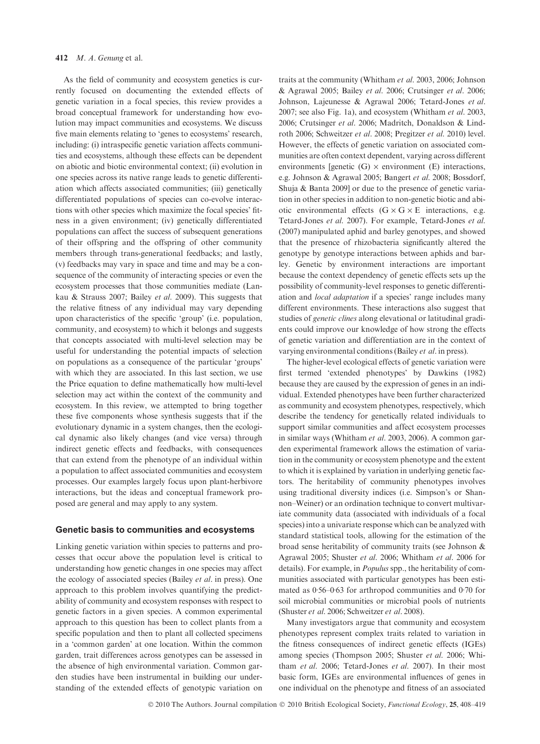As the field of community and ecosystem genetics is currently focused on documenting the extended effects of genetic variation in a focal species, this review provides a broad conceptual framework for understanding how evolution may impact communities and ecosystems. We discuss five main elements relating to 'genes to ecosystems' research, including: (i) intraspecific genetic variation affects communities and ecosystems, although these effects can be dependent on abiotic and biotic environmental context; (ii) evolution in one species across its native range leads to genetic differentiation which affects associated communities; (iii) genetically differentiated populations of species can co-evolve interactions with other species which maximize the focal species' fitness in a given environment; (iv) genetically differentiated populations can affect the success of subsequent generations of their offspring and the offspring of other community members through trans-generational feedbacks; and lastly, (v) feedbacks may vary in space and time and may be a consequence of the community of interacting species or even the ecosystem processes that those communities mediate (Lankau & Strauss 2007; Bailey et al. 2009). This suggests that the relative fitness of any individual may vary depending upon characteristics of the specific 'group' (i.e. population, community, and ecosystem) to which it belongs and suggests that concepts associated with multi-level selection may be useful for understanding the potential impacts of selection on populations as a consequence of the particular 'groups' with which they are associated. In this last section, we use the Price equation to define mathematically how multi-level selection may act within the context of the community and ecosystem. In this review, we attempted to bring together these five components whose synthesis suggests that if the evolutionary dynamic in a system changes, then the ecological dynamic also likely changes (and vice versa) through indirect genetic effects and feedbacks, with consequences that can extend from the phenotype of an individual within a population to affect associated communities and ecosystem processes. Our examples largely focus upon plant-herbivore interactions, but the ideas and conceptual framework proposed are general and may apply to any system.

#### Genetic basis to communities and ecosystems

Linking genetic variation within species to patterns and processes that occur above the population level is critical to understanding how genetic changes in one species may affect the ecology of associated species (Bailey et al. in press). One approach to this problem involves quantifying the predictability of community and ecosystem responses with respect to genetic factors in a given species. A common experimental approach to this question has been to collect plants from a specific population and then to plant all collected specimens in a 'common garden' at one location. Within the common garden, trait differences across genotypes can be assessed in the absence of high environmental variation. Common garden studies have been instrumental in building our understanding of the extended effects of genotypic variation on traits at the community (Whitham et al. 2003, 2006; Johnson & Agrawal 2005; Bailey et al. 2006; Crutsinger et al. 2006; Johnson, Lajeunesse & Agrawal 2006; Tetard-Jones et al. 2007; see also Fig. 1a), and ecosystem (Whitham et al. 2003, 2006; Crutsinger et al. 2006; Madritch, Donaldson & Lindroth 2006; Schweitzer et al. 2008; Pregitzer et al. 2010) level. However, the effects of genetic variation on associated communities are often context dependent, varying across different environments [genetic  $(G) \times$  environment  $(E)$  interactions, e.g. Johnson & Agrawal 2005; Bangert et al. 2008; Bossdorf, Shuja & Banta 2009] or due to the presence of genetic variation in other species in addition to non-genetic biotic and abiotic environmental effects  $(G \times G \times E)$  interactions, e.g. Tetard-Jones et al. 2007). For example, Tetard-Jones et al. (2007) manipulated aphid and barley genotypes, and showed that the presence of rhizobacteria significantly altered the genotype by genotype interactions between aphids and barley. Genetic by environment interactions are important because the context dependency of genetic effects sets up the possibility of community-level responses to genetic differentiation and local adaptation if a species' range includes many different environments. These interactions also suggest that studies of genetic clines along elevational or latitudinal gradients could improve our knowledge of how strong the effects of genetic variation and differentiation are in the context of varying environmental conditions (Bailey et al. in press).

The higher-level ecological effects of genetic variation were first termed 'extended phenotypes' by Dawkins (1982) because they are caused by the expression of genes in an individual. Extended phenotypes have been further characterized as community and ecosystem phenotypes, respectively, which describe the tendency for genetically related individuals to support similar communities and affect ecosystem processes in similar ways (Whitham et al. 2003, 2006). A common garden experimental framework allows the estimation of variation in the community or ecosystem phenotype and the extent to which it is explained by variation in underlying genetic factors. The heritability of community phenotypes involves using traditional diversity indices (i.e. Simpson's or Shannon–Weiner) or an ordination technique to convert multivariate community data (associated with individuals of a focal species) into a univariate response which can be analyzed with standard statistical tools, allowing for the estimation of the broad sense heritability of community traits (see Johnson & Agrawal 2005; Shuster et al. 2006; Whitham et al. 2006 for details). For example, in Populus spp., the heritability of communities associated with particular genotypes has been estimated as  $0.56-0.63$  for arthropod communities and  $0.70$  for soil microbial communities or microbial pools of nutrients (Shuster et al. 2006; Schweitzer et al. 2008).

Many investigators argue that community and ecosystem phenotypes represent complex traits related to variation in the fitness consequences of indirect genetic effects (IGEs) among species (Thompson 2005; Shuster et al. 2006; Whitham et al. 2006; Tetard-Jones et al. 2007). In their most basic form, IGEs are environmental influences of genes in one individual on the phenotype and fitness of an associated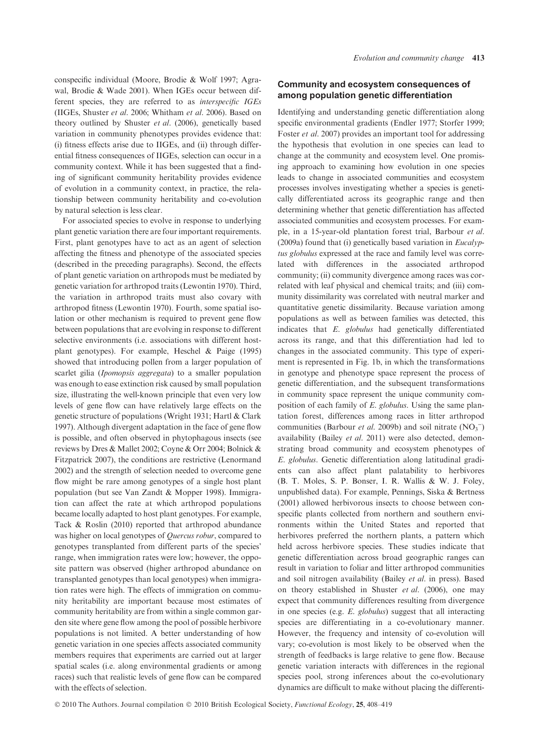conspecific individual (Moore, Brodie & Wolf 1997; Agrawal, Brodie & Wade 2001). When IGEs occur between different species, they are referred to as interspecific IGEs (IIGEs, Shuster et al. 2006; Whitham et al. 2006). Based on theory outlined by Shuster et al. (2006), genetically based variation in community phenotypes provides evidence that: (i) fitness effects arise due to IIGEs, and (ii) through differential fitness consequences of IIGEs, selection can occur in a community context. While it has been suggested that a finding of significant community heritability provides evidence of evolution in a community context, in practice, the relationship between community heritability and co-evolution by natural selection is less clear.

For associated species to evolve in response to underlying plant genetic variation there are four important requirements. First, plant genotypes have to act as an agent of selection affecting the fitness and phenotype of the associated species (described in the preceding paragraphs). Second, the effects of plant genetic variation on arthropods must be mediated by genetic variation for arthropod traits (Lewontin 1970). Third, the variation in arthropod traits must also covary with arthropod fitness (Lewontin 1970). Fourth, some spatial isolation or other mechanism is required to prevent gene flow between populations that are evolving in response to different selective environments (i.e. associations with different hostplant genotypes). For example, Heschel & Paige (1995) showed that introducing pollen from a larger population of scarlet gilia (Ipomopsis aggregata) to a smaller population was enough to ease extinction risk caused by small population size, illustrating the well-known principle that even very low levels of gene flow can have relatively large effects on the genetic structure of populations (Wright 1931; Hartl & Clark 1997). Although divergent adaptation in the face of gene flow is possible, and often observed in phytophagous insects (see reviews by Dres & Mallet 2002; Coyne & Orr 2004; Bolnick & Fitzpatrick 2007), the conditions are restrictive (Lenormand 2002) and the strength of selection needed to overcome gene flow might be rare among genotypes of a single host plant population (but see Van Zandt & Mopper 1998). Immigration can affect the rate at which arthropod populations became locally adapted to host plant genotypes. For example, Tack & Roslin (2010) reported that arthropod abundance was higher on local genotypes of Quercus robur, compared to genotypes transplanted from different parts of the species' range, when immigration rates were low; however, the opposite pattern was observed (higher arthropod abundance on transplanted genotypes than local genotypes) when immigration rates were high. The effects of immigration on community heritability are important because most estimates of community heritability are from within a single common garden site where gene flow among the pool of possible herbivore populations is not limited. A better understanding of how genetic variation in one species affects associated community members requires that experiments are carried out at larger spatial scales (i.e. along environmental gradients or among races) such that realistic levels of gene flow can be compared with the effects of selection.

### Community and ecosystem consequences of among population genetic differentiation

Identifying and understanding genetic differentiation along specific environmental gradients (Endler 1977; Storfer 1999; Foster et al. 2007) provides an important tool for addressing the hypothesis that evolution in one species can lead to change at the community and ecosystem level. One promising approach to examining how evolution in one species leads to change in associated communities and ecosystem processes involves investigating whether a species is genetically differentiated across its geographic range and then determining whether that genetic differentiation has affected associated communities and ecosystem processes. For example, in a 15-year-old plantation forest trial, Barbour et al. (2009a) found that (i) genetically based variation in Eucalyptus globulus expressed at the race and family level was correlated with differences in the associated arthropod community; (ii) community divergence among races was correlated with leaf physical and chemical traits; and (iii) community dissimilarity was correlated with neutral marker and quantitative genetic dissimilarity. Because variation among populations as well as between families was detected, this indicates that E. globulus had genetically differentiated across its range, and that this differentiation had led to changes in the associated community. This type of experiment is represented in Fig. 1b, in which the transformations in genotype and phenotype space represent the process of genetic differentiation, and the subsequent transformations in community space represent the unique community composition of each family of E. globulus. Using the same plantation forest, differences among races in litter arthropod communities (Barbour et al. 2009b) and soil nitrate  $(NO<sub>3</sub><sup>-</sup>)$ availability (Bailey et al. 2011) were also detected, demonstrating broad community and ecosystem phenotypes of E. globulus. Genetic differentiation along latitudinal gradients can also affect plant palatability to herbivores (B. T. Moles, S. P. Bonser, I. R. Wallis & W. J. Foley, unpublished data). For example, Pennings, Siska & Bertness (2001) allowed herbivorous insects to choose between conspecific plants collected from northern and southern environments within the United States and reported that herbivores preferred the northern plants, a pattern which held across herbivore species. These studies indicate that genetic differentiation across broad geographic ranges can result in variation to foliar and litter arthropod communities and soil nitrogen availability (Bailey et al. in press). Based on theory established in Shuster et al. (2006), one may expect that community differences resulting from divergence in one species (e.g. E. globulus) suggest that all interacting species are differentiating in a co-evolutionary manner. However, the frequency and intensity of co-evolution will vary; co-evolution is most likely to be observed when the strength of feedbacks is large relative to gene flow. Because genetic variation interacts with differences in the regional species pool, strong inferences about the co-evolutionary dynamics are difficult to make without placing the differenti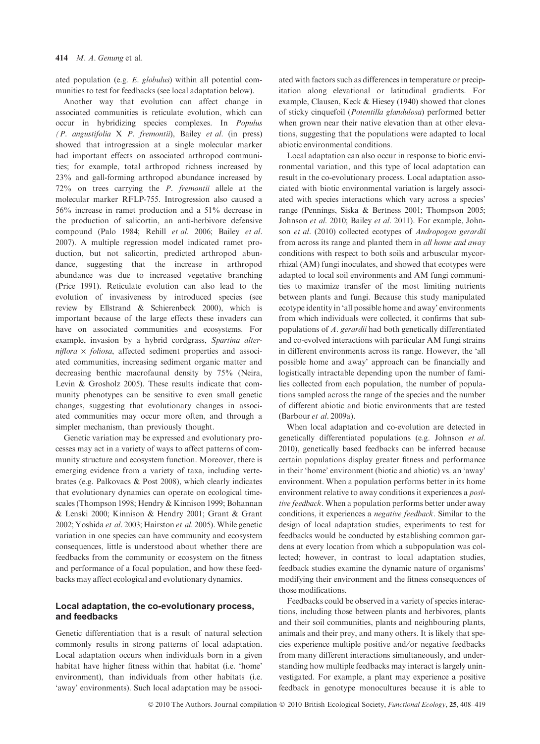ated population (e.g. E. globulus) within all potential communities to test for feedbacks (see local adaptation below).

Another way that evolution can affect change in associated communities is reticulate evolution, which can occur in hybridizing species complexes. In Populus (P. angustifolia X P. fremontii), Bailey et al. (in press) showed that introgression at a single molecular marker had important effects on associated arthropod communities; for example, total arthropod richness increased by 23% and gall-forming arthropod abundance increased by 72% on trees carrying the P. fremontii allele at the molecular marker RFLP-755. Introgression also caused a 56% increase in ramet production and a 51% decrease in the production of salicortin, an anti-herbivore defensive compound (Palo 1984; Rehill et al. 2006; Bailey et al. 2007). A multiple regression model indicated ramet production, but not salicortin, predicted arthropod abundance, suggesting that the increase in arthropod abundance was due to increased vegetative branching (Price 1991). Reticulate evolution can also lead to the evolution of invasiveness by introduced species (see review by Ellstrand & Schierenbeck 2000), which is important because of the large effects these invaders can have on associated communities and ecosystems. For example, invasion by a hybrid cordgrass, Spartina alter $niflora \times foliosa$ , affected sediment properties and associated communities, increasing sediment organic matter and decreasing benthic macrofaunal density by 75% (Neira, Levin & Grosholz 2005). These results indicate that community phenotypes can be sensitive to even small genetic changes, suggesting that evolutionary changes in associated communities may occur more often, and through a simpler mechanism, than previously thought.

Genetic variation may be expressed and evolutionary processes may act in a variety of ways to affect patterns of community structure and ecosystem function. Moreover, there is emerging evidence from a variety of taxa, including vertebrates (e.g. Palkovacs & Post 2008), which clearly indicates that evolutionary dynamics can operate on ecological timescales (Thompson 1998; Hendry & Kinnison 1999; Bohannan & Lenski 2000; Kinnison & Hendry 2001; Grant & Grant 2002; Yoshida et al. 2003; Hairston et al. 2005). While genetic variation in one species can have community and ecosystem consequences, little is understood about whether there are feedbacks from the community or ecosystem on the fitness and performance of a focal population, and how these feedbacks may affect ecological and evolutionary dynamics.

# Local adaptation, the co-evolutionary process, and feedbacks

Genetic differentiation that is a result of natural selection commonly results in strong patterns of local adaptation. Local adaptation occurs when individuals born in a given habitat have higher fitness within that habitat (i.e. 'home' environment), than individuals from other habitats (i.e. 'away' environments). Such local adaptation may be associated with factors such as differences in temperature or precipitation along elevational or latitudinal gradients. For example, Clausen, Keck & Hiesey (1940) showed that clones of sticky cinquefoil (Potentilla glandulosa) performed better when grown near their native elevation than at other elevations, suggesting that the populations were adapted to local abiotic environmental conditions.

Local adaptation can also occur in response to biotic environmental variation, and this type of local adaptation can result in the co-evolutionary process. Local adaptation associated with biotic environmental variation is largely associated with species interactions which vary across a species' range (Pennings, Siska & Bertness 2001; Thompson 2005; Johnson et al. 2010; Bailey et al. 2011). For example, Johnson et al. (2010) collected ecotypes of Andropogon gerardii from across its range and planted them in all home and away conditions with respect to both soils and arbuscular mycorrhizal (AM) fungi inoculates, and showed that ecotypes were adapted to local soil environments and AM fungi communities to maximize transfer of the most limiting nutrients between plants and fungi. Because this study manipulated ecotype identity in 'all possible home and away' environments from which individuals were collected, it confirms that subpopulations of A. gerardii had both genetically differentiated and co-evolved interactions with particular AM fungi strains in different environments across its range. However, the 'all possible home and away' approach can be financially and logistically intractable depending upon the number of families collected from each population, the number of populations sampled across the range of the species and the number of different abiotic and biotic environments that are tested (Barbour et al. 2009a).

When local adaptation and co-evolution are detected in genetically differentiated populations (e.g. Johnson et al. 2010), genetically based feedbacks can be inferred because certain populations display greater fitness and performance in their 'home' environment (biotic and abiotic) vs. an 'away' environment. When a population performs better in its home environment relative to away conditions it experiences a positive feedback. When a population performs better under away conditions, it experiences a negative feedback. Similar to the design of local adaptation studies, experiments to test for feedbacks would be conducted by establishing common gardens at every location from which a subpopulation was collected; however, in contrast to local adaptation studies, feedback studies examine the dynamic nature of organisms' modifying their environment and the fitness consequences of those modifications.

Feedbacks could be observed in a variety of species interactions, including those between plants and herbivores, plants and their soil communities, plants and neighbouring plants, animals and their prey, and many others. It is likely that species experience multiple positive and ⁄ or negative feedbacks from many different interactions simultaneously, and understanding how multiple feedbacks may interact is largely uninvestigated. For example, a plant may experience a positive feedback in genotype monocultures because it is able to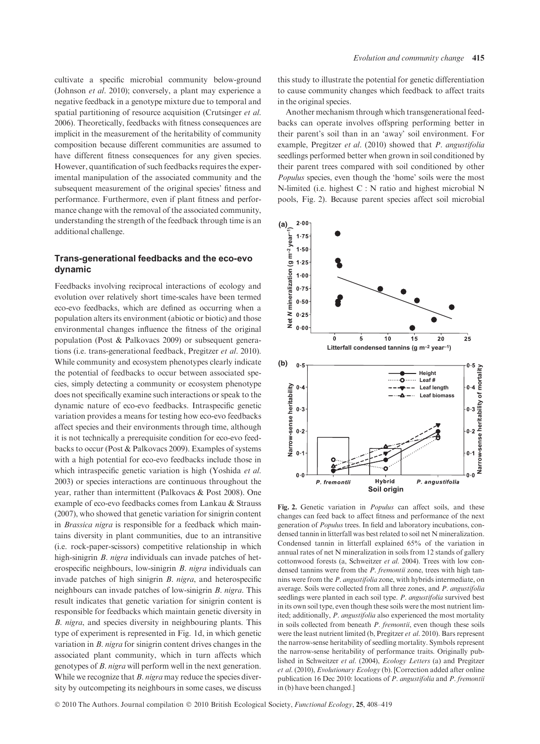cultivate a specific microbial community below-ground (Johnson et al. 2010); conversely, a plant may experience a negative feedback in a genotype mixture due to temporal and spatial partitioning of resource acquisition (Crutsinger et al. 2006). Theoretically, feedbacks with fitness consequences are implicit in the measurement of the heritability of community composition because different communities are assumed to have different fitness consequences for any given species. However, quantification of such feedbacks requires the experimental manipulation of the associated community and the subsequent measurement of the original species' fitness and performance. Furthermore, even if plant fitness and performance change with the removal of the associated community, understanding the strength of the feedback through time is an additional challenge.

# Trans-generational feedbacks and the eco-evo dynamic

Feedbacks involving reciprocal interactions of ecology and evolution over relatively short time-scales have been termed eco-evo feedbacks, which are defined as occurring when a population alters its environment (abiotic or biotic) and those environmental changes influence the fitness of the original population (Post & Palkovacs 2009) or subsequent generations (i.e. trans-generational feedback, Pregitzer et al. 2010). While community and ecosystem phenotypes clearly indicate the potential of feedbacks to occur between associated species, simply detecting a community or ecosystem phenotype does not specifically examine such interactions or speak to the dynamic nature of eco-evo feedbacks. Intraspecific genetic variation provides a means for testing how eco-evo feedbacks affect species and their environments through time, although it is not technically a prerequisite condition for eco-evo feedbacks to occur (Post & Palkovacs 2009). Examples of systems with a high potential for eco-evo feedbacks include those in which intraspecific genetic variation is high (Yoshida et al. 2003) or species interactions are continuous throughout the year, rather than intermittent (Palkovacs & Post 2008). One example of eco-evo feedbacks comes from Lankau & Strauss (2007), who showed that genetic variation for sinigrin content in Brassica nigra is responsible for a feedback which maintains diversity in plant communities, due to an intransitive (i.e. rock-paper-scissors) competitive relationship in which high-sinigrin B. nigra individuals can invade patches of heterospecific neighbours, low-sinigrin B. nigra individuals can invade patches of high sinigrin B. nigra, and heterospecific neighbours can invade patches of low-sinigrin B. nigra. This result indicates that genetic variation for sinigrin content is responsible for feedbacks which maintain genetic diversity in B. nigra, and species diversity in neighbouring plants. This type of experiment is represented in Fig. 1d, in which genetic variation in B. nigra for sinigrin content drives changes in the associated plant community, which in turn affects which genotypes of B. nigra will perform well in the next generation. While we recognize that *B*. *nigra* may reduce the species diversity by outcompeting its neighbours in some cases, we discuss

this study to illustrate the potential for genetic differentiation to cause community changes which feedback to affect traits in the original species.

Another mechanism through which transgenerational feedbacks can operate involves offspring performing better in their parent's soil than in an 'away' soil environment. For example, Pregitzer et al. (2010) showed that P. angustifolia seedlings performed better when grown in soil conditioned by their parent trees compared with soil conditioned by other Populus species, even though the 'home' soils were the most N-limited (i.e. highest C : N ratio and highest microbial N pools, Fig. 2). Because parent species affect soil microbial



Fig. 2. Genetic variation in Populus can affect soils, and these changes can feed back to affect fitness and performance of the next generation of Populus trees. In field and laboratory incubations, condensed tannin in litterfall was best related to soil net N mineralization. Condensed tannin in litterfall explained 65% of the variation in annual rates of net N mineralization in soils from 12 stands of gallery cottonwood forests (a, Schweitzer et al. 2004). Trees with low condensed tannins were from the *P. fremontii* zone, trees with high tannins were from the P. angustifolia zone, with hybrids intermediate, on average. Soils were collected from all three zones, and P. angustifolia seedlings were planted in each soil type. P. angustifolia survived best in its own soil type, even though these soils were the most nutrient limited; additionally, P. angustifolia also experienced the most mortality in soils collected from beneath P. fremontii, even though these soils were the least nutrient limited (b, Pregitzer et al. 2010). Bars represent the narrow-sense heritability of seedling mortality. Symbols represent the narrow-sense heritability of performance traits. Originally published in Schweitzer et al. (2004), Ecology Letters (a) and Pregitzer et al. (2010), Evolutionary Ecology (b). [Correction added after online publication 16 Dec 2010: locations of P. angustifolia and P. fremontii in (b) have been changed.]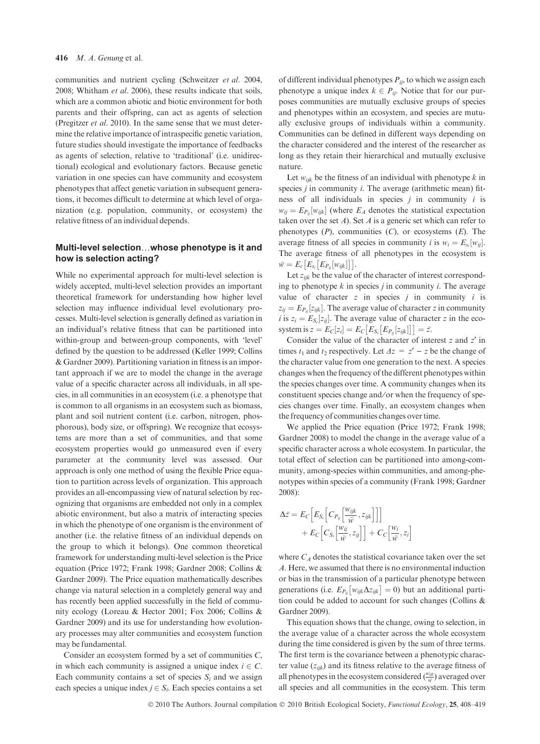communities and nutrient cycling (Schweitzer et al. 2004, 2008; Whitham et al. 2006), these results indicate that soils, which are a common abiotic and biotic environment for both parents and their offspring, can act as agents of selection (Pregitzer et al. 2010). In the same sense that we must determine the relative importance of intraspecific genetic variation, future studies should investigate the importance of feedbacks as agents of selection, relative to 'traditional' (i.e. unidirectional) ecological and evolutionary factors. Because genetic variation in one species can have community and ecosystem phenotypes that affect genetic variation in subsequent generations, it becomes difficult to determine at which level of organization (e.g. population, community, or ecosystem) the relative fitness of an individual depends.

# Multi-level selection…whose phenotype is it and how is selection acting?

While no experimental approach for multi-level selection is widely accepted, multi-level selection provides an important theoretical framework for understanding how higher level selection may influence individual level evolutionary processes. Multi-level selection is generally defined as variation in an individual's relative fitness that can be partitioned into within-group and between-group components, with 'level' defined by the question to be addressed (Keller 1999; Collins & Gardner 2009). Partitioning variation in fitness is an important approach if we are to model the change in the average value of a specific character across all individuals, in all species, in all communities in an ecosystem (i.e. a phenotype that is common to all organisms in an ecosystem such as biomass, plant and soil nutrient content (i.e. carbon, nitrogen, phosphorous), body size, or offspring). We recognize that ecosystems are more than a set of communities, and that some ecosystem properties would go unmeasured even if every parameter at the community level was assessed. Our approach is only one method of using the flexible Price equation to partition across levels of organization. This approach provides an all-encompassing view of natural selection by recognizing that organisms are embedded not only in a complex abiotic environment, but also a matrix of interacting species in which the phenotype of one organism is the environment of another (i.e. the relative fitness of an individual depends on the group to which it belongs). One common theoretical framework for understanding multi-level selection is the Price equation (Price 1972; Frank 1998; Gardner 2008; Collins & Gardner 2009). The Price equation mathematically describes change via natural selection in a completely general way and has recently been applied successfully in the field of community ecology (Loreau & Hector 2001; Fox 2006; Collins & Gardner 2009) and its use for understanding how evolutionary processes may alter communities and ecosystem function may be fundamental.

Consider an ecosystem formed by a set of communities C, in which each community is assigned a unique index  $i \in C$ . Each community contains a set of species  $S_i$  and we assign each species a unique index  $j \in S_i$ . Each species contains a set of different individual phenotypes  $P_{ij}$ , to which we assign each phenotype a unique index  $k \in P_{ij}$ . Notice that for our purposes communities are mutually exclusive groups of species and phenotypes within an ecosystem, and species are mutually exclusive groups of individuals within a community. Communities can be defined in different ways depending on the character considered and the interest of the researcher as long as they retain their hierarchical and mutually exclusive nature.

Let  $w_{ijk}$  be the fitness of an individual with phenotype k in species  $j$  in community  $i$ . The average (arithmetic mean) fitness of all individuals in species  $j$  in community  $i$  is  $w_{ij} = E_{P_{ij}}[w_{ijk}]$  (where  $E_A$  denotes the statistical expectation taken over the set  $A$ ). Set  $A$  is a generic set which can refer to phenotypes  $(P)$ , communities  $(C)$ , or ecosystems  $(E)$ . The average fitness of all species in community *i* is  $w_i = E_{s_i}[w_{ij}]$ . The average fitness of all phenotypes in the ecosystem is  $\bar{w} = E_c \big[ E_{s_i} \big[ E_{P_{ij}} [w_{ijk}] \big] \big].$ 

Let  $z_{ijk}$  be the value of the character of interest corresponding to phenotype  $k$  in species  $j$  in community  $i$ . The average value of character  $z$  in species  $j$  in community  $i$  is  $z_{ij} = E_{P_{ij}}[z_{ijk}]$ . The average value of character z in community *i* is  $z_i = E_{S_i}[z_{ij}]$ . The average value of character z in the ecosystem is  $z = E_C[z_i] = E_C \big[E_{S_i} [E_{P_{ij}}[z_{ijk}]\big] \big] = \overline{z}.$ 

Consider the value of the character of interest  $z$  and  $z'$  in times  $t_1$  and  $t_2$  respectively. Let  $\Delta z = z' - z$  be the change of the character value from one generation to the next. A species changes when the frequency of the different phenotypes within the species changes over time. A community changes when its constituent species change and ⁄ or when the frequency of species changes over time. Finally, an ecosystem changes when the frequency of communities changes over time.

We applied the Price equation (Price 1972; Frank 1998; Gardner 2008) to model the change in the average value of a specific character across a whole ecosystem. In particular, the total effect of selection can be partitioned into among-community, among-species within communities, and among-phenotypes within species of a community (Frank 1998; Gardner 2008):

$$
\Delta \bar{z} = E_C \Big[ E_{S_i} \Big[ C_{P_{ij}} \Big[ \frac{w_{ijk}}{\bar{w}}, z_{ijk} \Big] \Big] \Big] + E_C \Big[ C_{S_i} \Big[ \frac{w_{ij}}{\bar{w}}, z_{ij} \Big] \Big] + C_C \Big[ \frac{w_i}{\bar{w}}, z_i \Big]
$$

where  $C_A$  denotes the statistical covariance taken over the set A. Here, we assumed that there is no environmental induction or bias in the transmission of a particular phenotype between generations (i.e.  $E_{P_{ij}}[w_{ijk}\Delta z_{ijk}] = 0$ ) but an additional partition could be added to account for such changes (Collins & Gardner 2009).

This equation shows that the change, owing to selection, in the average value of a character across the whole ecosystem during the time considered is given by the sum of three terms. The first term is the covariance between a phenotypic character value  $(z_{ijk})$  and its fitness relative to the average fitness of all phenotypes in the ecosystem considered  $\left(\frac{w_{ijk}}{\bar{w}}\right)$  averaged over all species and all communities in the ecosystem. This term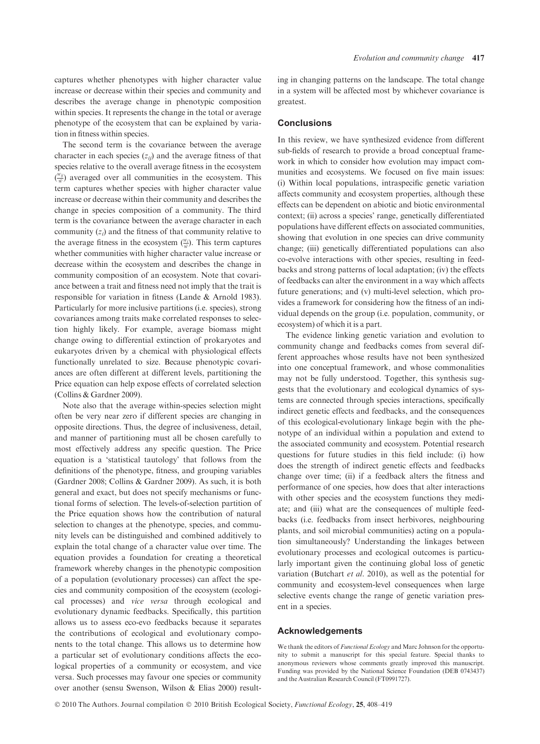captures whether phenotypes with higher character value increase or decrease within their species and community and describes the average change in phenotypic composition within species. It represents the change in the total or average phenotype of the ecosystem that can be explained by variation in fitness within species.

The second term is the covariance between the average character in each species  $(z_{ij})$  and the average fitness of that species relative to the overall average fitness in the ecosystem  $\frac{w_{ij}}{w}$  averaged over all communities in the ecosystem. This term captures whether species with higher character value increase or decrease within their community and describes the change in species composition of a community. The third term is the covariance between the average character in each community  $(z_i)$  and the fitness of that community relative to the average fitness in the ecosystem  $\left(\frac{w_i}{w}\right)$ . This term captures whether communities with higher character value increase or decrease within the ecosystem and describes the change in community composition of an ecosystem. Note that covariance between a trait and fitness need not imply that the trait is responsible for variation in fitness (Lande & Arnold 1983). Particularly for more inclusive partitions (i.e. species), strong covariances among traits make correlated responses to selection highly likely. For example, average biomass might change owing to differential extinction of prokaryotes and eukaryotes driven by a chemical with physiological effects functionally unrelated to size. Because phenotypic covariances are often different at different levels, partitioning the Price equation can help expose effects of correlated selection (Collins & Gardner 2009).

Note also that the average within-species selection might often be very near zero if different species are changing in opposite directions. Thus, the degree of inclusiveness, detail, and manner of partitioning must all be chosen carefully to most effectively address any specific question. The Price equation is a 'statistical tautology' that follows from the definitions of the phenotype, fitness, and grouping variables (Gardner 2008; Collins & Gardner 2009). As such, it is both general and exact, but does not specify mechanisms or functional forms of selection. The levels-of-selection partition of the Price equation shows how the contribution of natural selection to changes at the phenotype, species, and community levels can be distinguished and combined additively to explain the total change of a character value over time. The equation provides a foundation for creating a theoretical framework whereby changes in the phenotypic composition of a population (evolutionary processes) can affect the species and community composition of the ecosystem (ecological processes) and vice versa through ecological and evolutionary dynamic feedbacks. Specifically, this partition allows us to assess eco-evo feedbacks because it separates the contributions of ecological and evolutionary components to the total change. This allows us to determine how a particular set of evolutionary conditions affects the ecological properties of a community or ecosystem, and vice versa. Such processes may favour one species or community over another (sensu Swenson, Wilson & Elias 2000) resulting in changing patterns on the landscape. The total change in a system will be affected most by whichever covariance is greatest.

#### **Conclusions**

In this review, we have synthesized evidence from different sub-fields of research to provide a broad conceptual framework in which to consider how evolution may impact communities and ecosystems. We focused on five main issues: (i) Within local populations, intraspecific genetic variation affects community and ecosystem properties, although these effects can be dependent on abiotic and biotic environmental context; (ii) across a species' range, genetically differentiated populations have different effects on associated communities, showing that evolution in one species can drive community change; (iii) genetically differentiated populations can also co-evolve interactions with other species, resulting in feedbacks and strong patterns of local adaptation; (iv) the effects of feedbacks can alter the environment in a way which affects future generations; and (v) multi-level selection, which provides a framework for considering how the fitness of an individual depends on the group (i.e. population, community, or ecosystem) of which it is a part.

The evidence linking genetic variation and evolution to community change and feedbacks comes from several different approaches whose results have not been synthesized into one conceptual framework, and whose commonalities may not be fully understood. Together, this synthesis suggests that the evolutionary and ecological dynamics of systems are connected through species interactions, specifically indirect genetic effects and feedbacks, and the consequences of this ecological-evolutionary linkage begin with the phenotype of an individual within a population and extend to the associated community and ecosystem. Potential research questions for future studies in this field include: (i) how does the strength of indirect genetic effects and feedbacks change over time; (ii) if a feedback alters the fitness and performance of one species, how does that alter interactions with other species and the ecosystem functions they mediate; and (iii) what are the consequences of multiple feedbacks (i.e. feedbacks from insect herbivores, neighbouring plants, and soil microbial communities) acting on a population simultaneously? Understanding the linkages between evolutionary processes and ecological outcomes is particularly important given the continuing global loss of genetic variation (Butchart et al. 2010), as well as the potential for community and ecosystem-level consequences when large selective events change the range of genetic variation present in a species.

# Acknowledgements

We thank the editors of *Functional Ecology* and Marc Johnson for the opportunity to submit a manuscript for this special feature. Special thanks to anonymous reviewers whose comments greatly improved this manuscript. Funding was provided by the National Science Foundation (DEB 0743437) and the Australian Research Council (FT0991727).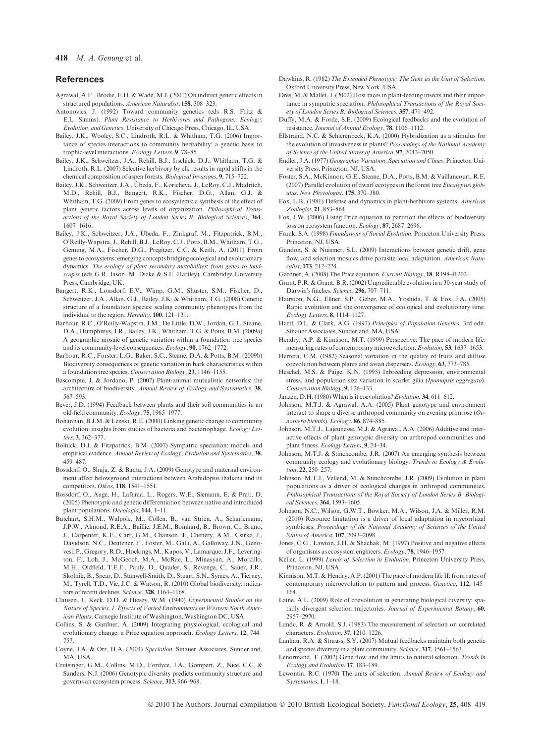418 *M. A. Genung* et al.

#### References

- Agrawal, A.F., Brodie, E.D. & Wade, M.J. (2001) On indirect genetic effects in structured populations. American Naturalist, 158, 308–323.
- Antonovics, J. (1992) Toward community genetics (eds R.S. Fritz & E.L. Simms). Plant Resistance to Herbivores and Pathogens: Ecology, Evolution, and Genetics. University of Chicago Press, Chicago, IL, USA.
- Bailey, J.K., Wooley, S.C., Lindroth, R.L. & Whitham, T.G. (2006) Importance of species interactions to community heritability: a genetic basis to trophic-level interactions. Ecology Letters, 9, 78–85.
- Bailey, J.K., Schweitzer, J.A., Rehill, B.J., Irschick, D.J., Whitham, T.G. & Lindroth, R.L. (2007) Selective herbivory by elk results in rapid shifts in the chemical composition of aspen forests. Biological Invasions, 9, 715–722.
- Bailey, J.K., Schweitzer, J.A., Úbeda, F., Koricheva, J., LeRoy, C.J., Madritch, M.D., Rehill, B.J., Bangert, R.K., Fischer, D.G., Allan, G.J. & Whitham, T.G. (2009) From genes to ecosystems: a synthesis of the effect of plant genetic factors across levels of organization. Philosophical Transactions of the Royal Society of London Series B: Biological Sciences, 364, 1607–1616.
- Bailey, J.K., Schweitzer, J.A., Úbeda, F., Zinkgraf, M., Fitzpatrick, B.M., O'Reilly-Wapstra, J., Rehill, B.J., LeRoy, C.J., Potts, B.M., Whitham, T.G., Genung, M.A., Fischer, D.G., Pregitzer, C.C. & Keith, A. (2011) From genes to ecosystems: emerging concepts bridging ecological and evolutionary dynamics. The ecology of plant secondary metabolites: from genes to landscapes (eds G.R. Iason, M. Dicke & S.E. Hartley). Cambridge University Press, Cambridge, UK.
- Bangert, R.K., Lonsdorf, E.V., Wimp, G.M., Shuster, S.M., Fischer, D., Schweitzer, J.A., Allan, G.J., Bailey, J.K. & Whitham, T.G. (2008) Genetic structure of a foundation species: scaling community phenotypes from the individual to the region. Heredity, 100, 121–131.
- Barbour, R.C., O'Reilly-Wapstra, J.M., De Little, D.W., Jordan, G.J., Steane, D.A., Humphreys, J.R., Bailey, J.K., Whitham, T.G. & Potts, B.M. (2009a) A geographic mosaic of genetic variation within a foundation tree species and its community-level consequences. Ecology, 90, 1762–1772.
- Barbour, R.C., Forster, L.G., Baker, S.C., Steane, D.A. & Potts, B.M. (2009b) Biodiversity consequences of genetic variation in bark characteristics within a foundation tree species. Conservation Biology, 23, 1146–1155.
- Bascompte, J. & Jordano, P. (2007) Plant-animal mutualistic networks: the architecture of biodiversity. Annual Review of Ecology and Systematics, 38, 567–593.
- Bever, J.D. (1994) Feedback between plants and their soil communities in an old-field community. Ecology, 75, 1965–1977.
- Bohannan, B.J.M. & Lenski, R.E. (2000) Linking genetic change to community evolution: insights from studies of bacteria and bacteriophage. *Ecology Let*ters, 3, 362–377.
- Bolnick, D.I. & Fitzpatrick, B.M. (2007) Sympatric speciation: models and empirical evidence. Annual Review of Ecology, Evolution and Systematics, 38, 459–487.
- Bossdorf, O., Shuja, Z. & Banta, J.A. (2009) Genotype and maternal environment affect belowground interactions between Arabidopsis thaliana and its competitors. Oikos, 118, 1541–1551.
- Bossdorf, O., Auge, H., Lafuma, L., Rogers, W.E., Siemann, E. & Prati, D. (2005) Phenotypic and genetic differentiation between native and introduced plant populations. Oecologia, 144, 1–11.
- Butchart, S.H.M., Walpole, M., Collen, B., van Strien, A., Scharlemann, J.P.W., Almond, R.E.A., Baillie, J.E.M., Bomhard, B., Brown, C., Bruno, J., Carpenter, K.E., Carr, G.M., Chanson, J., Chenery, A.M., Csirke, J., Davidson, N.C., Dentener, F., Foster, M., Galli, A., Galloway, J.N., Genovesi, P., Gregory, R.D., Hockings, M., Kapos, V., Lamarque, J.F., Leverington, F., Loh, J., McGeoch, M.A., McRae, L., Minasyan, A., Morcillo, M.H., Oldfield, T.E.E., Pauly, D., Quader, S., Revenga, C., Sauer, J.R., Skolnik, B., Spear, D., Stanwell-Smith, D., Stuart, S.N., Symes, A., Tierney, M., Tyrell, T.D., Vie, J.C. & Watson, R. (2010) Global biodiversity: indicators of recent declines. Science, 328, 1164–1168.
- Clausen, J., Keck, D.D. & Hiesey, W.M. (1940) Experimental Studies on the Nature of Species. 1. Effects of Varied Environments on Western North American Plants. Carnegie Institute of Washington, Washington DC, USA.
- Collins, S. & Gardner, A. (2009) Integrating physiological, ecological and evolutionary change: a Price equation approach. Ecology Letters, 12, 744– 757.
- Coyne, J.A. & Orr, H.A. (2004) Speciation. Sinauer Associates, Sunderland, MA, USA.
- Crutsinger, G.M., Collins, M.D., Fordyce, J.A., Gompert, Z., Nice, C.C. & Sanders, N.J. (2006) Genotypic diversity predicts community structure and governs an ecosystem process. Science, 313, 966–968.
- Dawkins, R. (1982) The Extended Phenotype: The Gene as the Unit of Selection. Oxford University Press, New York, USA.
- Dres, M. & Mallet, J. (2002) Host races in plant-feeding insects and their importance in sympatric speciation. Philosophical Transactions of the Royal Society of London Series B: Biological Sciences, 357, 471–492.
- Duffy, M.A. & Forde, S.E. (2009) Ecological feedbacks and the evolution of resistance. Journal of Animal Ecology, 78, 1106–1112.
- Ellstrand, N.C. & Schierenbeck, K.A. (2000) Hybridization as a stimulus for the evolution of invasiveness in plants? Proceedings of the National Academy of Science of the United States of America, 97, 7043–7050.
- Endler, J.A. (1977) Geographic Variation, Speciation and Clines. Princeton University Press, Princeton, NJ, USA.
- Foster, S.A., McKinnon, G.E., Steane, D.A., Potts, B.M. & Vaillancourt, R.E. (2007) Parallel evolution of dwarf ecotypes in the forest tree Eucalyptus globulus. New Phytologist, 175, 370–380.
- Fox, L.R. (1981) Defense and dynamics in plant-herbivore systems. American Zoologist, 21, 853–864.
- Fox, J.W. (2006) Using Price equation to partition the effects of biodiversity loss on ecosystem function. Ecology, 87, 2687–2696.
- Frank, S.A. (1998) Foundations of Social Evolution. Princeton University Press, Princeton, NJ, USA.
- Gandon, S. & Nuismer, S.L. (2009) Interactions between genetic drift, gene flow, and selection mosaics drive parasite local adaptation. American Naturalist, 173, 212–224.
- Gardner, A. (2008) The Price equation. Current Biology, 18, R198–R202.
- Grant, P.R. & Grant, B.R. (2002) Unpredictable evolution in a 30-year study of Darwin's finches. Science, 296, 707–711.
- Hairston, N.G., Ellner, S.P., Geber, M.A., Yoshida, T. & Fox, J.A. (2005) Rapid evolution and the convergence of ecological and evolutionary time. Ecology Letters, 8, 1114–1127.
- Hartl, D.L. & Clark, A.G. (1997) Principles of Population Genetics, 3rd edn. Sinauer Associates, Sunderland, MA, USA.
- Hendry, A.P. & Kinnison, M.T. (1999) Perspective: The pace of modern life: measuring rates of contemporary microevolution. Evolution, 53, 1637–1653.
- Herrera, C.M. (1982) Seasonal variation in the quality of fruits and diffuse coevolution between plants and avian dispersers. Ecology, 63, 773–785.
- Heschel, M.S. & Paige, K.N. (1995) Inbreeding depression, environmental stress, and population size variation in scarlet gilia (Ipomopsis aggregata). Conservation Biology, 9, 126–133.

Janzen, D.H. (1980) When is it coevolution? Evolution, 34, 611–612.

- Johnson, M.T.J. & Agrawal, A.A. (2005) Plant genotype and environment interact to shape a diverse arthropod community on evening primrose (Oenothera biennis). Ecology, 86, 874–885.
- Johnson, M.T.J., Lajeunesse, M.J. & Agrawal, A.A. (2006) Additive and interactive effects of plant genotypic diversity on arthropod communities and plant fitness. Ecology Letters, 9, 24–34.
- Johnson, M.T.J. & Stinchcombe, J.R. (2007) An emerging synthesis between community ecology and evolutionary biology. Trends in Ecology & Evolution, 22, 250–257.
- Johnson, M.T.J., Vellend, M. & Stinchcombe, J.R. (2009) Evolution in plant populations as a driver of ecological changes in arthropod communities. Philosophical Transactions of the Royal Society of London Series B: Biological Sciences, 364, 1593–1605.
- Johnson, N.C., Wilson, G.W.T., Bowker, M.A., Wilson, J.A. & Miller, R.M. (2010) Resource limitation is a driver of local adaptation in mycorrhizal symbioses. Proceedings of the National Academy of Sciences of the United States of America, 107, 2093–2098.
- Jones, C.G., Lawton, J.H. & Shachak, M. (1997) Positive and negative effects of organisms as ecosystem engineers. Ecology, 78, 1946–1957.
- Keller, L. (1999) Levels of Selection in Evolution. Princeton University Press, Princeton, NJ, USA.
- Kinnison, M.T. & Hendry, A.P. (2001) The pace of modern life II: from rates of contemporary microevolution to pattern and process. Genetica, 112, 145– 164.
- Laine, A.L. (2009) Role of coevolution in generating biological diversity: spatially divergent selection trajectories. Journal of Experimental Botany, 60, 2957–2970.
- Lande, R. & Arnold, S.J. (1983) The measurement of selection on correlated characters. Evolution, 37, 1210–1226.
- Lankau, R.A. & Strauss, S.Y. (2007) Mutual feedbacks maintain both genetic and species diversity in a plant community. Science, 317, 1561–1563.
- Lenormand, T. (2002) Gene flow and the limits to natural selection. Trends in Ecology and Evolution, 17, 183–189.
- Lewontin, R.C. (1970) The units of selection. Annual Review of Ecology and Systematics, 1, 1–18.